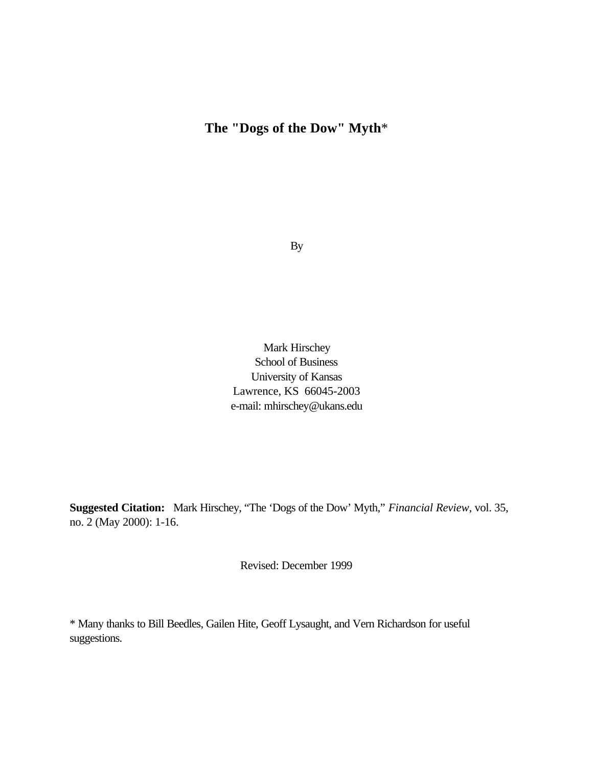# **The "Dogs of the Dow" Myth**\*

By

Mark Hirschey School of Business University of Kansas Lawrence, KS 66045-2003 e-mail: mhirschey@ukans.edu

**Suggested Citation:** Mark Hirschey, "The 'Dogs of the Dow' Myth," *Financial Review*, vol. 35, no. 2 (May 2000): 1-16.

Revised: December 1999

\* Many thanks to Bill Beedles, Gailen Hite, Geoff Lysaught, and Vern Richardson for useful suggestions.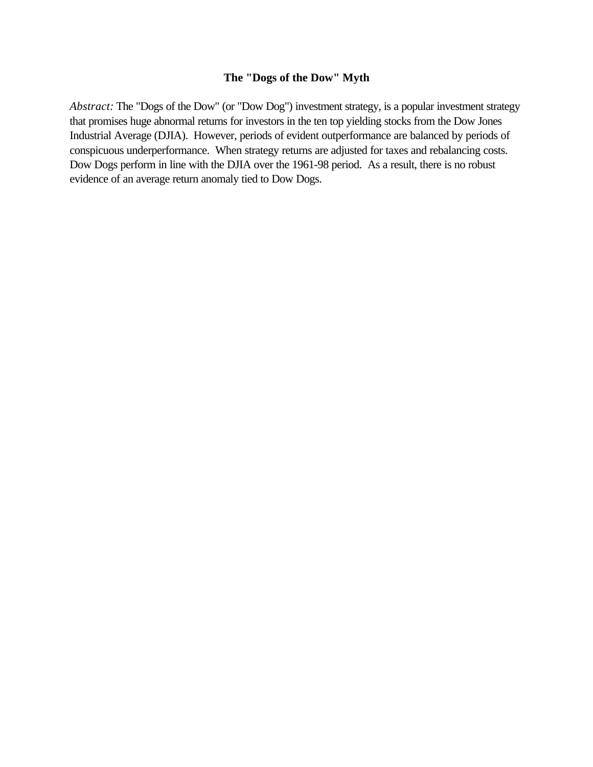#### **The "Dogs of the Dow" Myth**

*Abstract:* The "Dogs of the Dow" (or "Dow Dog") investment strategy, is a popular investment strategy that promises huge abnormal returns for investors in the ten top yielding stocks from the Dow Jones Industrial Average (DJIA). However, periods of evident outperformance are balanced by periods of conspicuous underperformance. When strategy returns are adjusted for taxes and rebalancing costs. Dow Dogs perform in line with the DJIA over the 1961-98 period. As a result, there is no robust evidence of an average return anomaly tied to Dow Dogs.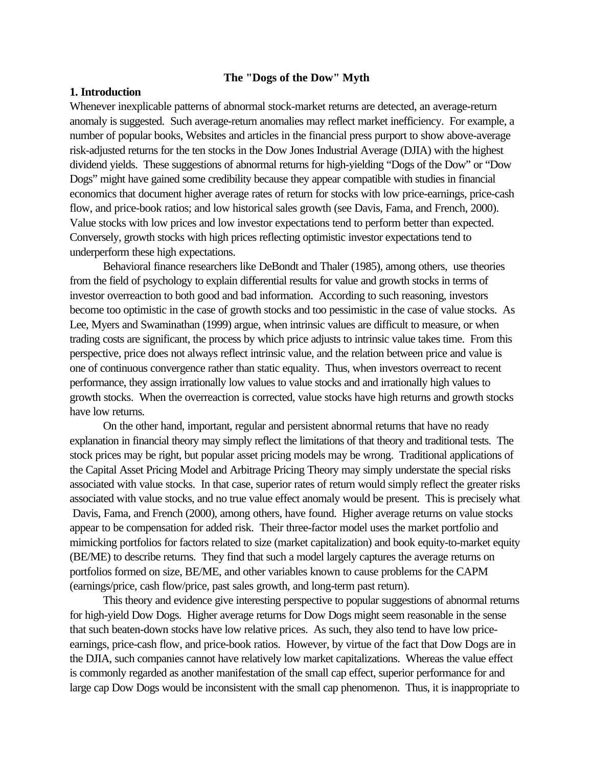#### **The "Dogs of the Dow" Myth**

#### **1. Introduction**

Whenever inexplicable patterns of abnormal stock-market returns are detected, an average-return anomaly is suggested. Such average-return anomalies may reflect market inefficiency. For example, a number of popular books, Websites and articles in the financial press purport to show above-average risk-adjusted returns for the ten stocks in the Dow Jones Industrial Average (DJIA) with the highest dividend yields. These suggestions of abnormal returns for high-yielding "Dogs of the Dow" or "Dow Dogs" might have gained some credibility because they appear compatible with studies in financial economics that document higher average rates of return for stocks with low price-earnings, price-cash flow, and price-book ratios; and low historical sales growth (see Davis, Fama, and French, 2000). Value stocks with low prices and low investor expectations tend to perform better than expected. Conversely, growth stocks with high prices reflecting optimistic investor expectations tend to underperform these high expectations.

Behavioral finance researchers like DeBondt and Thaler (1985), among others, use theories from the field of psychology to explain differential results for value and growth stocks in terms of investor overreaction to both good and bad information. According to such reasoning, investors become too optimistic in the case of growth stocks and too pessimistic in the case of value stocks. As Lee, Myers and Swaminathan (1999) argue, when intrinsic values are difficult to measure, or when trading costs are significant, the process by which price adjusts to intrinsic value takes time. From this perspective, price does not always reflect intrinsic value, and the relation between price and value is one of continuous convergence rather than static equality. Thus, when investors overreact to recent performance, they assign irrationally low values to value stocks and and irrationally high values to growth stocks. When the overreaction is corrected, value stocks have high returns and growth stocks have low returns.

On the other hand, important, regular and persistent abnormal returns that have no ready explanation in financial theory may simply reflect the limitations of that theory and traditional tests. The stock prices may be right, but popular asset pricing models may be wrong. Traditional applications of the Capital Asset Pricing Model and Arbitrage Pricing Theory may simply understate the special risks associated with value stocks. In that case, superior rates of return would simply reflect the greater risks associated with value stocks, and no true value effect anomaly would be present. This is precisely what Davis, Fama, and French (2000), among others, have found. Higher average returns on value stocks appear to be compensation for added risk. Their three-factor model uses the market portfolio and mimicking portfolios for factors related to size (market capitalization) and book equity-to-market equity (BE/ME) to describe returns. They find that such a model largely captures the average returns on portfolios formed on size, BE/ME, and other variables known to cause problems for the CAPM (earnings/price, cash flow/price, past sales growth, and long-term past return).

This theory and evidence give interesting perspective to popular suggestions of abnormal returns for high-yield Dow Dogs. Higher average returns for Dow Dogs might seem reasonable in the sense that such beaten-down stocks have low relative prices. As such, they also tend to have low priceearnings, price-cash flow, and price-book ratios. However, by virtue of the fact that Dow Dogs are in the DJIA, such companies cannot have relatively low market capitalizations. Whereas the value effect is commonly regarded as another manifestation of the small cap effect, superior performance for and large cap Dow Dogs would be inconsistent with the small cap phenomenon. Thus, it is inappropriate to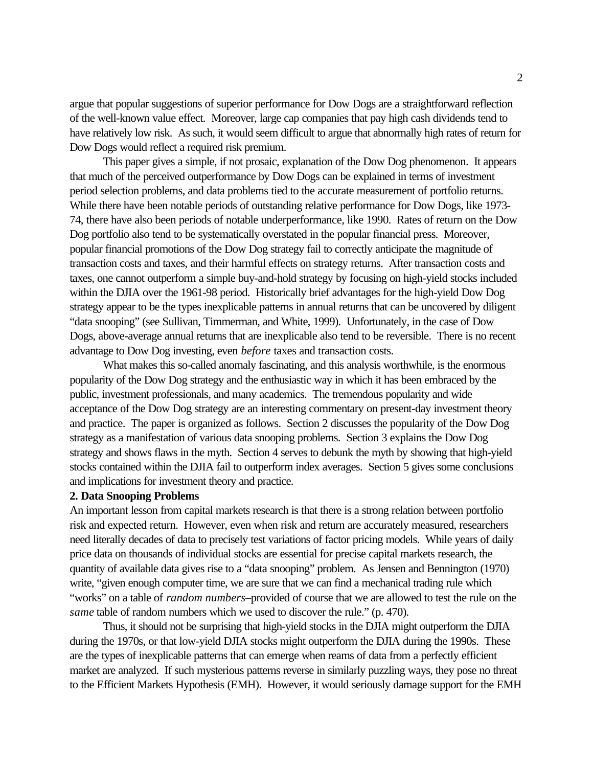argue that popular suggestions of superior performance for Dow Dogs are a straightforward reflection of the well-known value effect. Moreover, large cap companies that pay high cash dividends tend to have relatively low risk. As such, it would seem difficult to argue that abnormally high rates of return for Dow Dogs would reflect a required risk premium.

This paper gives a simple, if not prosaic, explanation of the Dow Dog phenomenon. It appears that much of the perceived outperformance by Dow Dogs can be explained in terms of investment period selection problems, and data problems tied to the accurate measurement of portfolio returns. While there have been notable periods of outstanding relative performance for Dow Dogs, like 1973- 74, there have also been periods of notable underperformance, like 1990. Rates of return on the Dow Dog portfolio also tend to be systematically overstated in the popular financial press. Moreover, popular financial promotions of the Dow Dog strategy fail to correctly anticipate the magnitude of transaction costs and taxes, and their harmful effects on strategy returns. After transaction costs and taxes, one cannot outperform a simple buy-and-hold strategy by focusing on high-yield stocks included within the DJIA over the 1961-98 period. Historically brief advantages for the high-yield Dow Dog strategy appear to be the types inexplicable patterns in annual returns that can be uncovered by diligent "data snooping" (see Sullivan, Timmerman, and White, 1999). Unfortunately, in the case of Dow Dogs, above-average annual returns that are inexplicable also tend to be reversible. There is no recent advantage to Dow Dog investing, even *before* taxes and transaction costs.

What makes this so-called anomaly fascinating, and this analysis worthwhile, is the enormous popularity of the Dow Dog strategy and the enthusiastic way in which it has been embraced by the public, investment professionals, and many academics. The tremendous popularity and wide acceptance of the Dow Dog strategy are an interesting commentary on present-day investment theory and practice. The paper is organized as follows. Section 2 discusses the popularity of the Dow Dog strategy as a manifestation of various data snooping problems. Section 3 explains the Dow Dog strategy and shows flaws in the myth. Section 4 serves to debunk the myth by showing that high-yield stocks contained within the DJIA fail to outperform index averages. Section 5 gives some conclusions and implications for investment theory and practice.

#### **2. Data Snooping Problems**

An important lesson from capital markets research is that there is a strong relation between portfolio risk and expected return. However, even when risk and return are accurately measured, researchers need literally decades of data to precisely test variations of factor pricing models. While years of daily price data on thousands of individual stocks are essential for precise capital markets research, the quantity of available data gives rise to a "data snooping" problem. As Jensen and Bennington (1970) write, "given enough computer time, we are sure that we can find a mechanical trading rule which "works" on a table of *random numbers*–provided of course that we are allowed to test the rule on the *same* table of random numbers which we used to discover the rule." (p. 470).

Thus, it should not be surprising that high-yield stocks in the DJIA might outperform the DJIA during the 1970s, or that low-yield DJIA stocks might outperform the DJIA during the 1990s. These are the types of inexplicable patterns that can emerge when reams of data from a perfectly efficient market are analyzed. If such mysterious patterns reverse in similarly puzzling ways, they pose no threat to the Efficient Markets Hypothesis (EMH). However, it would seriously damage support for the EMH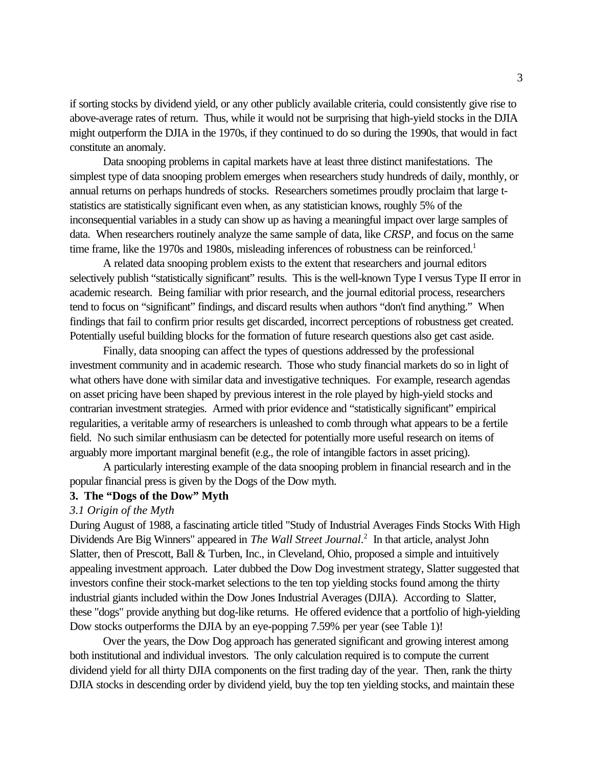if sorting stocks by dividend yield, or any other publicly available criteria, could consistently give rise to above-average rates of return. Thus, while it would not be surprising that high-yield stocks in the DJIA might outperform the DJIA in the 1970s, if they continued to do so during the 1990s, that would in fact constitute an anomaly.

Data snooping problems in capital markets have at least three distinct manifestations. The simplest type of data snooping problem emerges when researchers study hundreds of daily, monthly, or annual returns on perhaps hundreds of stocks. Researchers sometimes proudly proclaim that large tstatistics are statistically significant even when, as any statistician knows, roughly 5% of the inconsequential variables in a study can show up as having a meaningful impact over large samples of data. When researchers routinely analyze the same sample of data, like *CRSP,* and focus on the same time frame, like the 1970s and 1980s, misleading inferences of robustness can be reinforced.<sup>1</sup>

A related data snooping problem exists to the extent that researchers and journal editors selectively publish "statistically significant" results. This is the well-known Type I versus Type II error in academic research. Being familiar with prior research, and the journal editorial process, researchers tend to focus on "significant" findings, and discard results when authors "don't find anything." When findings that fail to confirm prior results get discarded, incorrect perceptions of robustness get created. Potentially useful building blocks for the formation of future research questions also get cast aside.

Finally, data snooping can affect the types of questions addressed by the professional investment community and in academic research. Those who study financial markets do so in light of what others have done with similar data and investigative techniques. For example, research agendas on asset pricing have been shaped by previous interest in the role played by high-yield stocks and contrarian investment strategies. Armed with prior evidence and "statistically significant" empirical regularities, a veritable army of researchers is unleashed to comb through what appears to be a fertile field. No such similar enthusiasm can be detected for potentially more useful research on items of arguably more important marginal benefit (e.g., the role of intangible factors in asset pricing).

A particularly interesting example of the data snooping problem in financial research and in the popular financial press is given by the Dogs of the Dow myth.

# **3. The "Dogs of the Dow" Myth**

### *3.1 Origin of the Myth*

During August of 1988, a fascinating article titled "Study of Industrial Averages Finds Stocks With High Dividends Are Big Winners" appeared in *The Wall Street Journal*. 2 In that article, analyst John Slatter, then of Prescott, Ball & Turben, Inc., in Cleveland, Ohio, proposed a simple and intuitively appealing investment approach. Later dubbed the Dow Dog investment strategy, Slatter suggested that investors confine their stock-market selections to the ten top yielding stocks found among the thirty industrial giants included within the Dow Jones Industrial Averages (DJIA). According to Slatter, these "dogs" provide anything but dog-like returns. He offered evidence that a portfolio of high-yielding Dow stocks outperforms the DJIA by an eye-popping 7.59% per year (see Table 1)!

Over the years, the Dow Dog approach has generated significant and growing interest among both institutional and individual investors. The only calculation required is to compute the current dividend yield for all thirty DJIA components on the first trading day of the year. Then, rank the thirty DJIA stocks in descending order by dividend yield, buy the top ten yielding stocks, and maintain these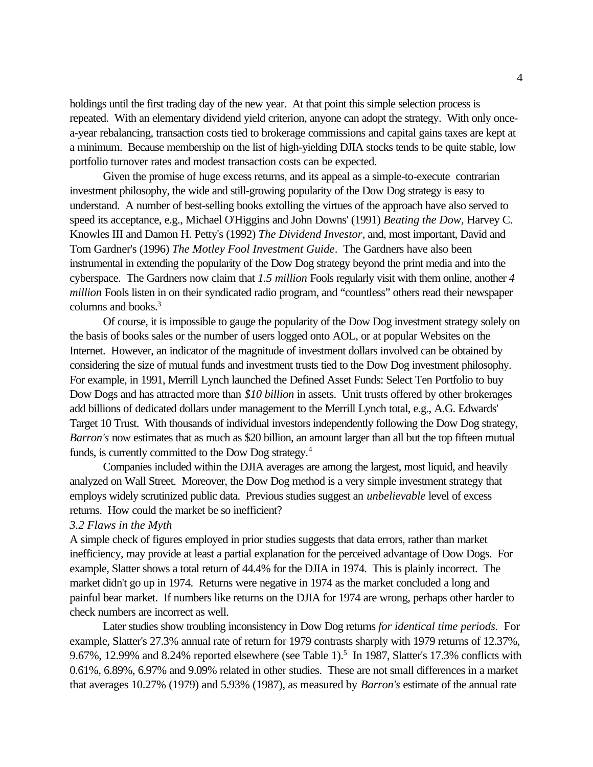holdings until the first trading day of the new year. At that point this simple selection process is repeated. With an elementary dividend yield criterion, anyone can adopt the strategy. With only oncea-year rebalancing, transaction costs tied to brokerage commissions and capital gains taxes are kept at a minimum. Because membership on the list of high-yielding DJIA stocks tends to be quite stable, low portfolio turnover rates and modest transaction costs can be expected.

Given the promise of huge excess returns, and its appeal as a simple-to-execute contrarian investment philosophy, the wide and still-growing popularity of the Dow Dog strategy is easy to understand. A number of best-selling books extolling the virtues of the approach have also served to speed its acceptance, e.g., Michael O'Higgins and John Downs' (1991) *Beating the Dow,* Harvey C. Knowles III and Damon H. Petty's (1992) *The Dividend Investor*, and, most important, David and Tom Gardner's (1996) *The Motley Fool Investment Guide*. The Gardners have also been instrumental in extending the popularity of the Dow Dog strategy beyond the print media and into the cyberspace. The Gardners now claim that *1.5 million* Fools regularly visit with them online, another *4 million* Fools listen in on their syndicated radio program, and "countless" others read their newspaper columns and books.<sup>3</sup>

Of course, it is impossible to gauge the popularity of the Dow Dog investment strategy solely on the basis of books sales or the number of users logged onto AOL, or at popular Websites on the Internet. However, an indicator of the magnitude of investment dollars involved can be obtained by considering the size of mutual funds and investment trusts tied to the Dow Dog investment philosophy. For example, in 1991, Merrill Lynch launched the Defined Asset Funds: Select Ten Portfolio to buy Dow Dogs and has attracted more than *\$10 billion* in assets. Unit trusts offered by other brokerages add billions of dedicated dollars under management to the Merrill Lynch total, e.g., A.G. Edwards' Target 10 Trust. With thousands of individual investors independently following the Dow Dog strategy, *Barron's* now estimates that as much as \$20 billion, an amount larger than all but the top fifteen mutual funds, is currently committed to the Dow Dog strategy.<sup>4</sup>

Companies included within the DJIA averages are among the largest, most liquid, and heavily analyzed on Wall Street. Moreover, the Dow Dog method is a very simple investment strategy that employs widely scrutinized public data. Previous studies suggest an *unbelievable* level of excess returns. How could the market be so inefficient?

#### *3.2 Flaws in the Myth*

A simple check of figures employed in prior studies suggests that data errors, rather than market inefficiency, may provide at least a partial explanation for the perceived advantage of Dow Dogs. For example, Slatter shows a total return of 44.4% for the DJIA in 1974. This is plainly incorrect. The market didn't go up in 1974. Returns were negative in 1974 as the market concluded a long and painful bear market. If numbers like returns on the DJIA for 1974 are wrong, perhaps other harder to check numbers are incorrect as well.

Later studies show troubling inconsistency in Dow Dog returns *for identical time periods.* For example, Slatter's 27.3% annual rate of return for 1979 contrasts sharply with 1979 returns of 12.37%, 9.67%, 12.99% and 8.24% reported elsewhere (see Table 1).<sup>5</sup> In 1987, Slatter's 17.3% conflicts with 0.61%, 6.89%, 6.97% and 9.09% related in other studies. These are not small differences in a market that averages 10.27% (1979) and 5.93% (1987), as measured by *Barron's* estimate of the annual rate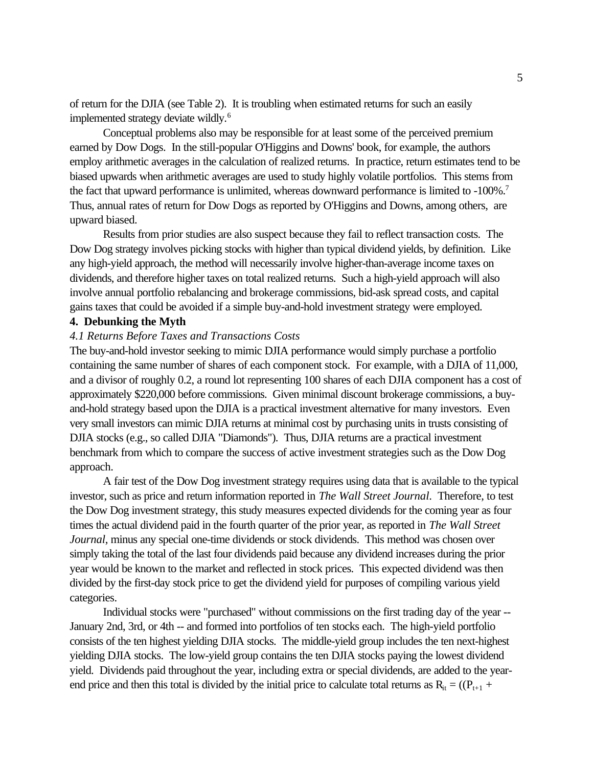of return for the DJIA (see Table 2). It is troubling when estimated returns for such an easily implemented strategy deviate wildly.<sup>6</sup>

Conceptual problems also may be responsible for at least some of the perceived premium earned by Dow Dogs. In the still-popular O'Higgins and Downs' book, for example, the authors employ arithmetic averages in the calculation of realized returns. In practice, return estimates tend to be biased upwards when arithmetic averages are used to study highly volatile portfolios. This stems from the fact that upward performance is unlimited, whereas downward performance is limited to -100%.<sup>7</sup> Thus, annual rates of return for Dow Dogs as reported by O'Higgins and Downs, among others, are upward biased.

Results from prior studies are also suspect because they fail to reflect transaction costs. The Dow Dog strategy involves picking stocks with higher than typical dividend yields, by definition. Like any high-yield approach, the method will necessarily involve higher-than-average income taxes on dividends, and therefore higher taxes on total realized returns. Such a high-yield approach will also involve annual portfolio rebalancing and brokerage commissions, bid-ask spread costs, and capital gains taxes that could be avoided if a simple buy-and-hold investment strategy were employed.

#### **4. Debunking the Myth**

### *4.1 Returns Before Taxes and Transactions Costs*

The buy-and-hold investor seeking to mimic DJIA performance would simply purchase a portfolio containing the same number of shares of each component stock. For example, with a DJIA of 11,000, and a divisor of roughly 0.2, a round lot representing 100 shares of each DJIA component has a cost of approximately \$220,000 before commissions. Given minimal discount brokerage commissions, a buyand-hold strategy based upon the DJIA is a practical investment alternative for many investors. Even very small investors can mimic DJIA returns at minimal cost by purchasing units in trusts consisting of DJIA stocks (e.g., so called DJIA "Diamonds"). Thus, DJIA returns are a practical investment benchmark from which to compare the success of active investment strategies such as the Dow Dog approach.

A fair test of the Dow Dog investment strategy requires using data that is available to the typical investor, such as price and return information reported in *The Wall Street Journal*. Therefore, to test the Dow Dog investment strategy, this study measures expected dividends for the coming year as four times the actual dividend paid in the fourth quarter of the prior year, as reported in *The Wall Street Journal*, minus any special one-time dividends or stock dividends. This method was chosen over simply taking the total of the last four dividends paid because any dividend increases during the prior year would be known to the market and reflected in stock prices. This expected dividend was then divided by the first-day stock price to get the dividend yield for purposes of compiling various yield categories.

Individual stocks were "purchased" without commissions on the first trading day of the year -- January 2nd, 3rd, or 4th -- and formed into portfolios of ten stocks each. The high-yield portfolio consists of the ten highest yielding DJIA stocks. The middle-yield group includes the ten next-highest yielding DJIA stocks. The low-yield group contains the ten DJIA stocks paying the lowest dividend yield. Dividends paid throughout the year, including extra or special dividends, are added to the yearend price and then this total is divided by the initial price to calculate total returns as  $R_{it} = ((P_{t+1} +$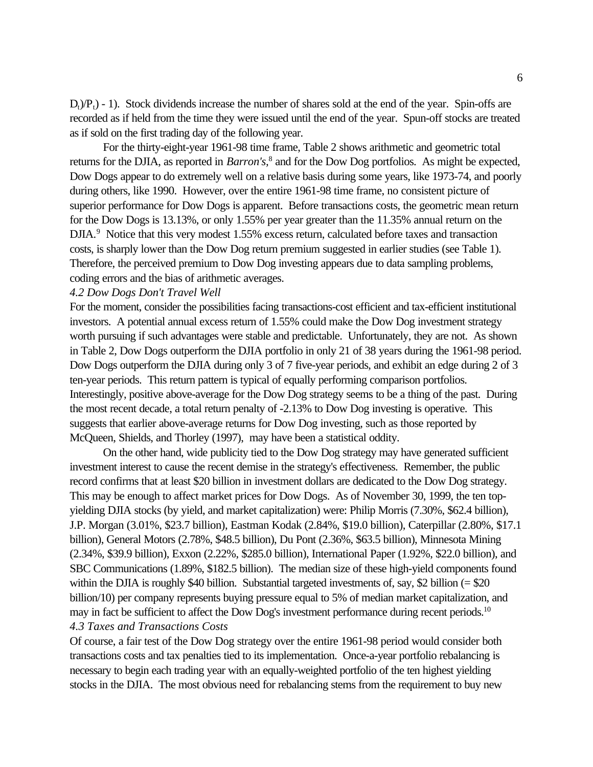$D_t$ ) $P_t$ ) - 1). Stock dividends increase the number of shares sold at the end of the year. Spin-offs are recorded as if held from the time they were issued until the end of the year. Spun-off stocks are treated as if sold on the first trading day of the following year.

For the thirty-eight-year 1961-98 time frame, Table 2 shows arithmetic and geometric total returns for the DJIA, as reported in *Barron's*,<sup>8</sup> and for the Dow Dog portfolios. As might be expected, Dow Dogs appear to do extremely well on a relative basis during some years, like 1973-74, and poorly during others, like 1990. However, over the entire 1961-98 time frame, no consistent picture of superior performance for Dow Dogs is apparent. Before transactions costs, the geometric mean return for the Dow Dogs is 13.13%, or only 1.55% per year greater than the 11.35% annual return on the DJIA.<sup>9</sup> Notice that this very modest 1.55% excess return, calculated before taxes and transaction costs, is sharply lower than the Dow Dog return premium suggested in earlier studies (see Table 1). Therefore, the perceived premium to Dow Dog investing appears due to data sampling problems, coding errors and the bias of arithmetic averages.

#### *4.2 Dow Dogs Don't Travel Well*

For the moment, consider the possibilities facing transactions-cost efficient and tax-efficient institutional investors. A potential annual excess return of 1.55% could make the Dow Dog investment strategy worth pursuing if such advantages were stable and predictable. Unfortunately, they are not. As shown in Table 2, Dow Dogs outperform the DJIA portfolio in only 21 of 38 years during the 1961-98 period. Dow Dogs outperform the DJIA during only 3 of 7 five-year periods, and exhibit an edge during 2 of 3 ten-year periods. This return pattern is typical of equally performing comparison portfolios. Interestingly, positive above-average for the Dow Dog strategy seems to be a thing of the past. During the most recent decade, a total return penalty of -2.13% to Dow Dog investing is operative. This suggests that earlier above-average returns for Dow Dog investing, such as those reported by McQueen, Shields, and Thorley (1997), may have been a statistical oddity.

On the other hand, wide publicity tied to the Dow Dog strategy may have generated sufficient investment interest to cause the recent demise in the strategy's effectiveness. Remember, the public record confirms that at least \$20 billion in investment dollars are dedicated to the Dow Dog strategy. This may be enough to affect market prices for Dow Dogs. As of November 30, 1999, the ten topyielding DJIA stocks (by yield, and market capitalization) were: Philip Morris (7.30%, \$62.4 billion), J.P. Morgan (3.01%, \$23.7 billion), Eastman Kodak (2.84%, \$19.0 billion), Caterpillar (2.80%, \$17.1 billion), General Motors (2.78%, \$48.5 billion), Du Pont (2.36%, \$63.5 billion), Minnesota Mining (2.34%, \$39.9 billion), Exxon (2.22%, \$285.0 billion), International Paper (1.92%, \$22.0 billion), and SBC Communications (1.89%, \$182.5 billion). The median size of these high-yield components found within the DJIA is roughly \$40 billion. Substantial targeted investments of, say, \$2 billion (= \$20) billion/10) per company represents buying pressure equal to 5% of median market capitalization, and may in fact be sufficient to affect the Dow Dog's investment performance during recent periods.<sup>10</sup> *4.3 Taxes and Transactions Costs*

Of course, a fair test of the Dow Dog strategy over the entire 1961-98 period would consider both transactions costs and tax penalties tied to its implementation. Once-a-year portfolio rebalancing is necessary to begin each trading year with an equally-weighted portfolio of the ten highest yielding stocks in the DJIA. The most obvious need for rebalancing stems from the requirement to buy new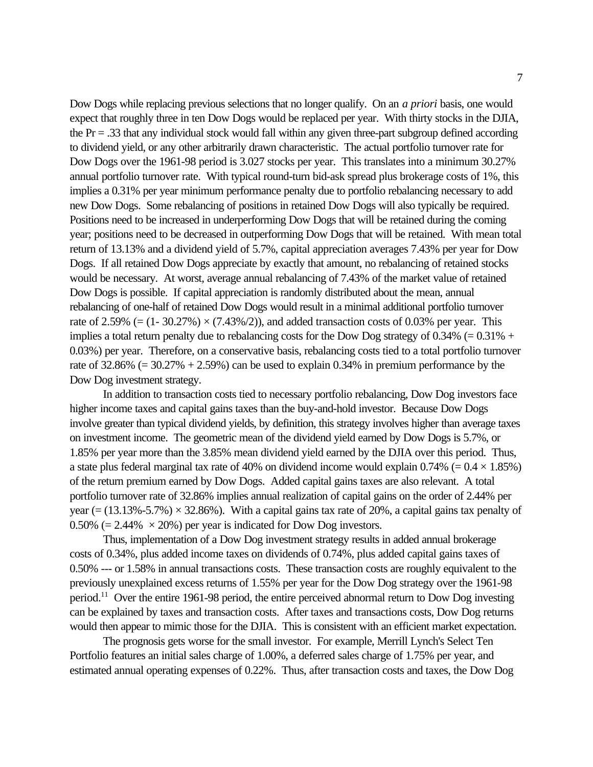Dow Dogs while replacing previous selections that no longer qualify. On an *a priori* basis, one would expect that roughly three in ten Dow Dogs would be replaced per year. With thirty stocks in the DJIA, the  $Pr = 0.33$  that any individual stock would fall within any given three-part subgroup defined according to dividend yield, or any other arbitrarily drawn characteristic. The actual portfolio turnover rate for Dow Dogs over the 1961-98 period is 3.027 stocks per year. This translates into a minimum 30.27% annual portfolio turnover rate. With typical round-turn bid-ask spread plus brokerage costs of 1%, this implies a 0.31% per year minimum performance penalty due to portfolio rebalancing necessary to add new Dow Dogs. Some rebalancing of positions in retained Dow Dogs will also typically be required. Positions need to be increased in underperforming Dow Dogs that will be retained during the coming year; positions need to be decreased in outperforming Dow Dogs that will be retained. With mean total return of 13.13% and a dividend yield of 5.7%, capital appreciation averages 7.43% per year for Dow Dogs. If all retained Dow Dogs appreciate by exactly that amount, no rebalancing of retained stocks would be necessary. At worst, average annual rebalancing of 7.43% of the market value of retained Dow Dogs is possible. If capital appreciation is randomly distributed about the mean, annual rebalancing of one-half of retained Dow Dogs would result in a minimal additional portfolio turnover rate of 2.59% (=  $(1 - 30.27\%) \times (7.43\%/2)$ ), and added transaction costs of 0.03% per year. This implies a total return penalty due to rebalancing costs for the Dow Dog strategy of  $0.34\%$  (=  $0.31\%$  + 0.03%) per year. Therefore, on a conservative basis, rebalancing costs tied to a total portfolio turnover rate of  $32.86\%$  (=  $30.27\%$  + 2.59%) can be used to explain 0.34% in premium performance by the Dow Dog investment strategy.

In addition to transaction costs tied to necessary portfolio rebalancing, Dow Dog investors face higher income taxes and capital gains taxes than the buy-and-hold investor. Because Dow Dogs involve greater than typical dividend yields, by definition, this strategy involves higher than average taxes on investment income. The geometric mean of the dividend yield earned by Dow Dogs is 5.7%, or 1.85% per year more than the 3.85% mean dividend yield earned by the DJIA over this period. Thus, a state plus federal marginal tax rate of 40% on dividend income would explain  $0.74\%$  (=  $0.4 \times 1.85\%$ ) of the return premium earned by Dow Dogs. Added capital gains taxes are also relevant. A total portfolio turnover rate of 32.86% implies annual realization of capital gains on the order of 2.44% per year (=  $(13.13\% - 5.7\%) \times 32.86\%$ ). With a capital gains tax rate of 20%, a capital gains tax penalty of 0.50% (= 2.44%  $\times$  20%) per year is indicated for Dow Dog investors.

Thus, implementation of a Dow Dog investment strategy results in added annual brokerage costs of 0.34%, plus added income taxes on dividends of 0.74%, plus added capital gains taxes of 0.50% --- or 1.58% in annual transactions costs. These transaction costs are roughly equivalent to the previously unexplained excess returns of 1.55% per year for the Dow Dog strategy over the 1961-98 period.<sup>11</sup> Over the entire 1961-98 period, the entire perceived abnormal return to Dow Dog investing can be explained by taxes and transaction costs. After taxes and transactions costs, Dow Dog returns would then appear to mimic those for the DJIA. This is consistent with an efficient market expectation.

The prognosis gets worse for the small investor. For example, Merrill Lynch's Select Ten Portfolio features an initial sales charge of 1.00%, a deferred sales charge of 1.75% per year, and estimated annual operating expenses of 0.22%. Thus, after transaction costs and taxes, the Dow Dog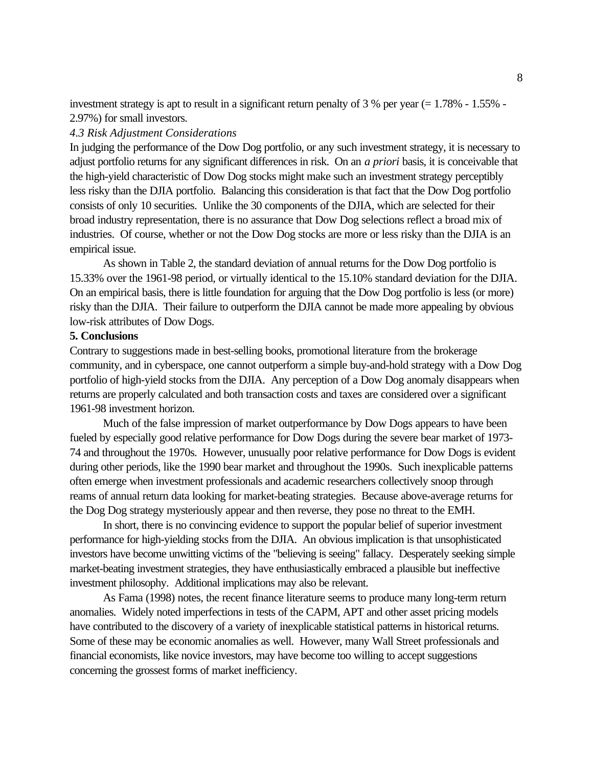investment strategy is apt to result in a significant return penalty of 3 % per year (= 1.78% - 1.55% - 2.97%) for small investors.

#### *4.3 Risk Adjustment Considerations*

In judging the performance of the Dow Dog portfolio, or any such investment strategy, it is necessary to adjust portfolio returns for any significant differences in risk. On an *a priori* basis, it is conceivable that the high-yield characteristic of Dow Dog stocks might make such an investment strategy perceptibly less risky than the DJIA portfolio. Balancing this consideration is that fact that the Dow Dog portfolio consists of only 10 securities. Unlike the 30 components of the DJIA, which are selected for their broad industry representation, there is no assurance that Dow Dog selections reflect a broad mix of industries. Of course, whether or not the Dow Dog stocks are more or less risky than the DJIA is an empirical issue.

As shown in Table 2, the standard deviation of annual returns for the Dow Dog portfolio is 15.33% over the 1961-98 period, or virtually identical to the 15.10% standard deviation for the DJIA. On an empirical basis, there is little foundation for arguing that the Dow Dog portfolio is less (or more) risky than the DJIA. Their failure to outperform the DJIA cannot be made more appealing by obvious low-risk attributes of Dow Dogs.

## **5. Conclusions**

Contrary to suggestions made in best-selling books, promotional literature from the brokerage community, and in cyberspace, one cannot outperform a simple buy-and-hold strategy with a Dow Dog portfolio of high-yield stocks from the DJIA. Any perception of a Dow Dog anomaly disappears when returns are properly calculated and both transaction costs and taxes are considered over a significant 1961-98 investment horizon.

Much of the false impression of market outperformance by Dow Dogs appears to have been fueled by especially good relative performance for Dow Dogs during the severe bear market of 1973- 74 and throughout the 1970s. However, unusually poor relative performance for Dow Dogs is evident during other periods, like the 1990 bear market and throughout the 1990s. Such inexplicable patterns often emerge when investment professionals and academic researchers collectively snoop through reams of annual return data looking for market-beating strategies. Because above-average returns for the Dog Dog strategy mysteriously appear and then reverse, they pose no threat to the EMH.

In short, there is no convincing evidence to support the popular belief of superior investment performance for high-yielding stocks from the DJIA. An obvious implication is that unsophisticated investors have become unwitting victims of the "believing is seeing" fallacy. Desperately seeking simple market-beating investment strategies, they have enthusiastically embraced a plausible but ineffective investment philosophy. Additional implications may also be relevant.

As Fama (1998) notes, the recent finance literature seems to produce many long-term return anomalies. Widely noted imperfections in tests of the CAPM, APT and other asset pricing models have contributed to the discovery of a variety of inexplicable statistical patterns in historical returns. Some of these may be economic anomalies as well. However, many Wall Street professionals and financial economists, like novice investors, may have become too willing to accept suggestions concerning the grossest forms of market inefficiency.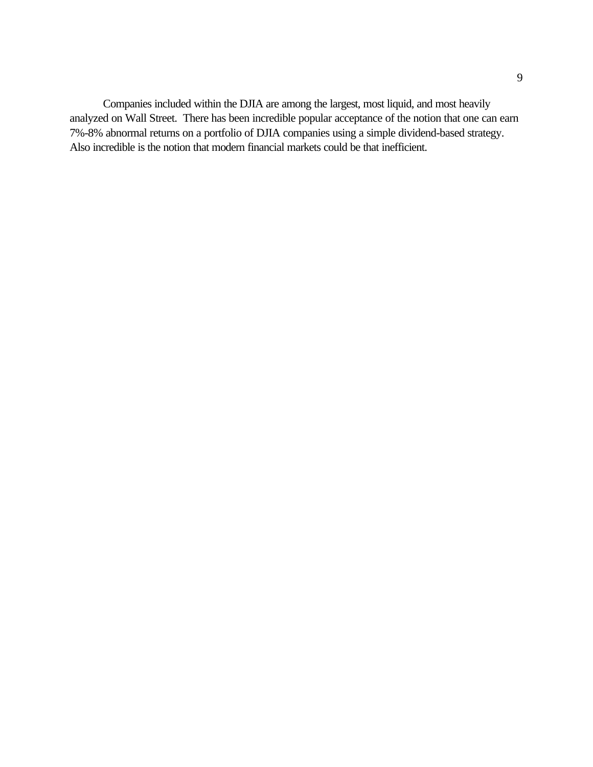Companies included within the DJIA are among the largest, most liquid, and most heavily analyzed on Wall Street. There has been incredible popular acceptance of the notion that one can earn 7%-8% abnormal returns on a portfolio of DJIA companies using a simple dividend-based strategy. Also incredible is the notion that modern financial markets could be that inefficient.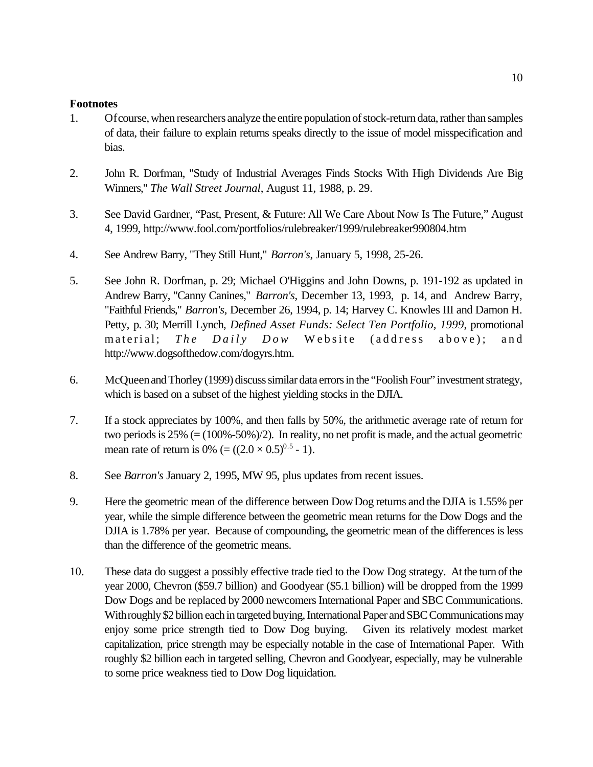## **Footnotes**

- 1. Of course, when researchers analyze the entire population of stock-return data, rather than samples of data, their failure to explain returns speaks directly to the issue of model misspecification and bias.
- 2. John R. Dorfman, "Study of Industrial Averages Finds Stocks With High Dividends Are Big Winners," *The Wall Street Journal*, August 11, 1988, p. 29.
- 3. See David Gardner, "Past, Present, & Future: All We Care About Now Is The Future," August 4, 1999, http://www.fool.com/portfolios/rulebreaker/1999/rulebreaker990804.htm
- 4. See Andrew Barry, "They Still Hunt," *Barron's*, January 5, 1998, 25-26.
- 5. See John R. Dorfman, p. 29; Michael O'Higgins and John Downs, p. 191-192 as updated in Andrew Barry, "Canny Canines," *Barron's*, December 13, 1993, p. 14, and Andrew Barry, "Faithful Friends," *Barron's*, December 26, 1994, p. 14; Harvey C. Knowles III and Damon H. Petty, p. 30; Merrill Lynch, *Defined Asset Funds: Select Ten Portfolio, 1999*, promotional material; *The Daily Dow* Website (address above); and http://www.dogsofthedow.com/dogyrs.htm.
- 6. McQueen and Thorley (1999) discuss similar data errors in the "Foolish Four" investment strategy, which is based on a subset of the highest yielding stocks in the DJIA.
- 7. If a stock appreciates by 100%, and then falls by 50%, the arithmetic average rate of return for two periods is  $25\%$  (=  $(100\% - 50\%)$ ). In reality, no net profit is made, and the actual geometric mean rate of return is  $0\%$  (=  $((2.0 \times 0.5)^{0.5} - 1)$ .
- 8. See *Barron's* January 2, 1995, MW 95, plus updates from recent issues.
- 9. Here the geometric mean of the difference between Dow Dog returns and the DJIA is 1.55% per year, while the simple difference between the geometric mean returns for the Dow Dogs and the DJIA is 1.78% per year. Because of compounding, the geometric mean of the differences is less than the difference of the geometric means.
- 10. These data do suggest a possibly effective trade tied to the Dow Dog strategy. At the turn of the year 2000, Chevron (\$59.7 billion) and Goodyear (\$5.1 billion) will be dropped from the 1999 Dow Dogs and be replaced by 2000 newcomers International Paper and SBC Communications. With roughly \$2 billion each in targeted buying, International Paper and SBC Communications may enjoy some price strength tied to Dow Dog buying. Given its relatively modest market capitalization, price strength may be especially notable in the case of International Paper. With roughly \$2 billion each in targeted selling, Chevron and Goodyear, especially, may be vulnerable to some price weakness tied to Dow Dog liquidation.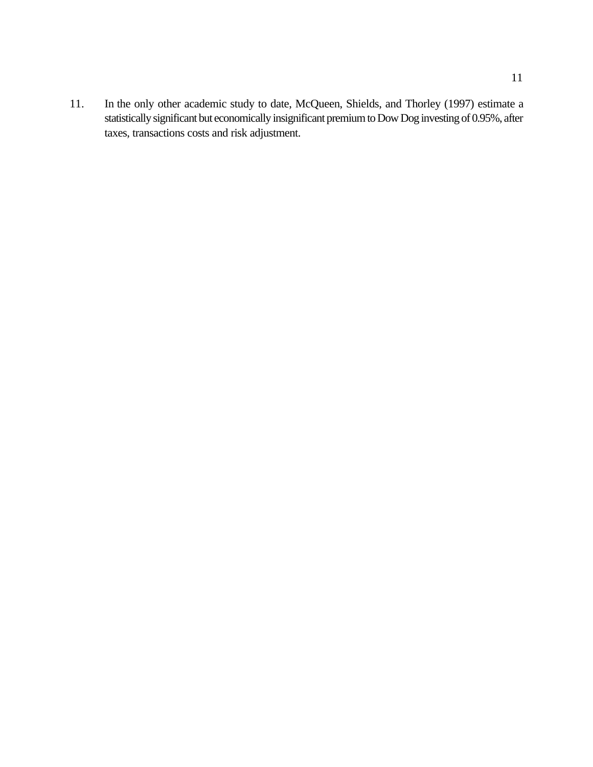11. In the only other academic study to date, McQueen, Shields, and Thorley (1997) estimate a statistically significant but economically insignificant premium to Dow Dog investing of 0.95%, after taxes, transactions costs and risk adjustment.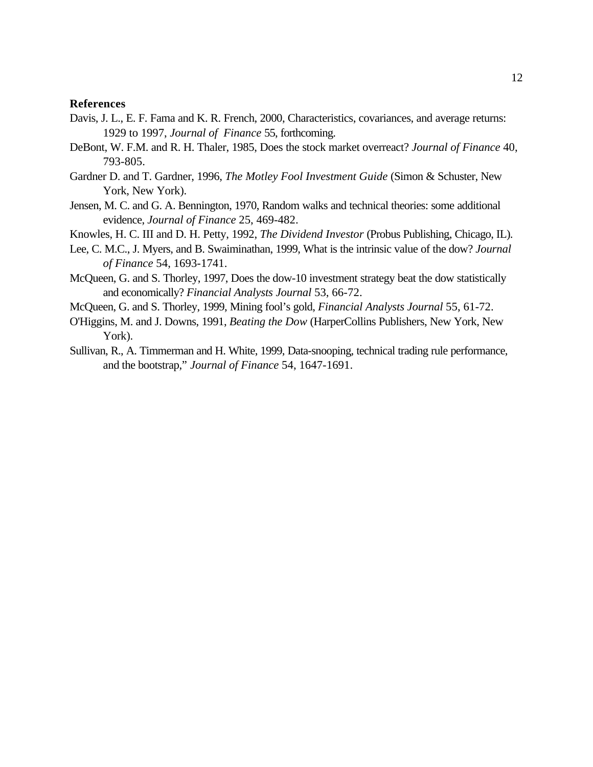#### **References**

- Davis, J. L., E. F. Fama and K. R. French, 2000, Characteristics, covariances, and average returns: 1929 to 1997, *Journal of Finance* 55, forthcoming.
- DeBont, W. F.M. and R. H. Thaler, 1985, Does the stock market overreact? *Journal of Finance* 40, 793-805.
- Gardner D. and T. Gardner, 1996, *The Motley Fool Investment Guide* (Simon & Schuster, New York, New York).
- Jensen, M. C. and G. A. Bennington, 1970, Random walks and technical theories: some additional evidence, *Journal of Finance* 25, 469-482.
- Knowles, H. C. III and D. H. Petty, 1992, *The Dividend Investor* (Probus Publishing, Chicago, IL).
- Lee, C. M.C., J. Myers, and B. Swaiminathan, 1999, What is the intrinsic value of the dow? *Journal of Finance* 54, 1693-1741.
- McQueen, G. and S. Thorley, 1997, Does the dow-10 investment strategy beat the dow statistically and economically? *Financial Analysts Journal* 53, 66-72.
- McQueen, G. and S. Thorley, 1999, Mining fool's gold, *Financial Analysts Journal* 55, 61-72.
- O'Higgins, M. and J. Downs, 1991, *Beating the Dow* (HarperCollins Publishers, New York, New York).
- Sullivan, R., A. Timmerman and H. White, 1999, Data-snooping, technical trading rule performance, and the bootstrap," *Journal of Finance* 54, 1647-1691.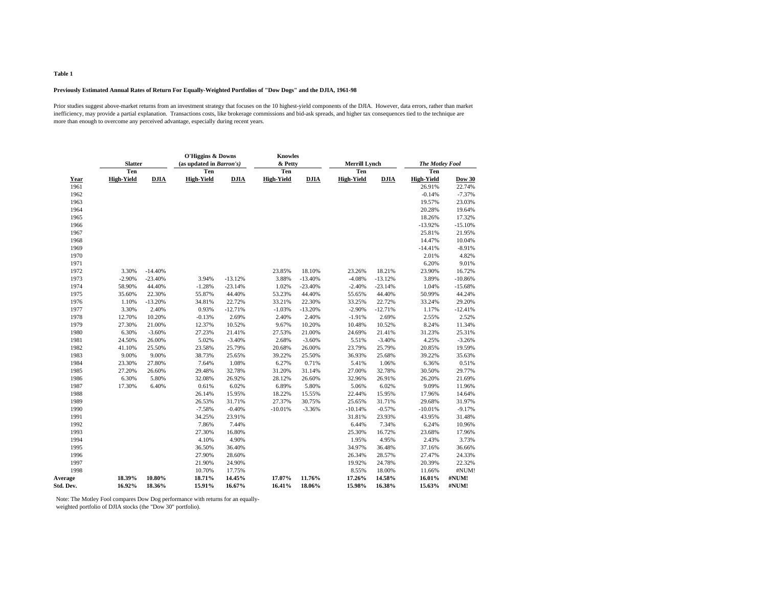#### **Table 1**

#### **Previously Estimated Annual Rates of Return For Equally-Weighted Portfolios of "Dow Dogs" and the DJIA, 1961-98**

Prior studies suggest above-market returns from an investment strategy that focuses on the 10 highest-yield components of the DJIA. However, data errors, rather than market inefficiency, may provide a partial explanation. Transactions costs, like brokerage commissions and bid-ask spreads, and higher tax consequences tied to the technique are more than enough to overcome any perceived advantage, especially during recent years.

|           |                   |             | O'Higgins & Downs<br>(as updated in Barron's) |             | <b>Knowles</b>    |             |                      |             |                        |               |
|-----------|-------------------|-------------|-----------------------------------------------|-------------|-------------------|-------------|----------------------|-------------|------------------------|---------------|
|           | <b>Slatter</b>    |             |                                               |             | & Petty           |             | <b>Merrill Lynch</b> |             | <b>The Motley Fool</b> |               |
|           | Ten               |             | Ten                                           |             | Ten               |             | Ten                  |             | Ten                    |               |
| Year      | <b>High-Yield</b> | <b>DJIA</b> | <b>High-Yield</b>                             | <b>DJIA</b> | <b>High-Yield</b> | <b>DJIA</b> | <b>High-Yield</b>    | <b>DJIA</b> | <b>High-Yield</b>      | <b>Dow 30</b> |
| 1961      |                   |             |                                               |             |                   |             |                      |             | 26.91%                 | 22.74%        |
| 1962      |                   |             |                                               |             |                   |             |                      |             | $-0.14%$               | $-7.37%$      |
| 1963      |                   |             |                                               |             |                   |             |                      |             | 19.57%                 | 23.03%        |
| 1964      |                   |             |                                               |             |                   |             |                      |             | 20.28%                 | 19.64%        |
| 1965      |                   |             |                                               |             |                   |             |                      |             | 18.26%                 | 17.32%        |
| 1966      |                   |             |                                               |             |                   |             |                      |             | $-13.92%$              | $-15.10%$     |
| 1967      |                   |             |                                               |             |                   |             |                      |             | 25.81%                 | 21.95%        |
| 1968      |                   |             |                                               |             |                   |             |                      |             | 14.47%                 | 10.04%        |
| 1969      |                   |             |                                               |             |                   |             |                      |             | $-14.41%$              | $-8.91%$      |
| 1970      |                   |             |                                               |             |                   |             |                      |             | 2.01%                  | 4.82%         |
| 1971      |                   |             |                                               |             |                   |             |                      |             | 6.20%                  | 9.01%         |
| 1972      | 3.30%             | $-14.40%$   |                                               |             | 23.85%            | 18.10%      | 23.26%               | 18.21%      | 23.90%                 | 16.72%        |
| 1973      | $-2.90%$          | $-23.40%$   | 3.94%                                         | $-13.12%$   | 3.88%             | $-13.40%$   | $-4.08%$             | $-13.12%$   | 3.89%                  | $-10.86%$     |
| 1974      | 58.90%            | 44.40%      | $-1.28%$                                      | $-23.14%$   | 1.02%             | $-23.40%$   | $-2.40%$             | $-23.14%$   | 1.04%                  | $-15.68%$     |
| 1975      | 35.60%            | 22.30%      | 55.87%                                        | 44.40%      | 53.23%            | 44.40%      | 55.65%               | 44.40%      | 50.99%                 | 44.24%        |
| 1976      | 1.10%             | $-13.20%$   | 34.81%                                        | 22.72%      | 33.21%            | 22.30%      | 33.25%               | 22.72%      | 33.24%                 | 29.20%        |
| 1977      | 3.30%             | 2.40%       | 0.93%                                         | $-12.71%$   | $-1.03%$          | $-13.20%$   | $-2.90%$             | $-12.71%$   | 1.17%                  | $-12.41%$     |
| 1978      | 12.70%            | 10.20%      | $-0.13%$                                      | 2.69%       | 2.40%             | 2.40%       | $-1.91%$             | 2.69%       | 2.55%                  | 2.52%         |
| 1979      | 27.30%            | 21.00%      | 12.37%                                        | 10.52%      | 9.67%             | 10.20%      | 10.48%               | 10.52%      | 8.24%                  | 11.34%        |
| 1980      | 6.30%             | $-3.60%$    | 27.23%                                        | 21.41%      | 27.53%            | 21.00%      | 24.69%               | 21.41%      | 31.23%                 | 25.31%        |
| 1981      | 24.50%            | 26.00%      | 5.02%                                         | $-3.40%$    | 2.68%             | $-3.60%$    | 5.51%                | $-3.40%$    | 4.25%                  | $-3.26%$      |
| 1982      | 41.10%            | 25.50%      | 23.58%                                        | 25.79%      | 20.68%            | 26.00%      | 23.79%               | 25.79%      | 20.85%                 | 19.59%        |
| 1983      | 9.00%             | 9.00%       | 38.73%                                        | 25.65%      | 39.22%            | 25.50%      | 36.93%               | 25.68%      | 39.22%                 | 35.63%        |
| 1984      | 23.30%            | 27.80%      | 7.64%                                         | 1.08%       | 6.27%             | 0.71%       | 5.41%                | 1.06%       | 6.36%                  | 0.51%         |
| 1985      | 27.20%            | 26.60%      | 29.48%                                        | 32.78%      | 31.20%            | 31.14%      | 27.00%               | 32.78%      | 30.50%                 | 29.77%        |
| 1986      | 6.30%             | 5.80%       | 32.08%                                        | 26.92%      | 28.12%            | 26.60%      | 32.96%               | 26.91%      | 26.20%                 | 21.69%        |
| 1987      | 17.30%            | 6.40%       | 0.61%                                         | 6.02%       | 6.89%             | 5.80%       | 5.06%                | 6.02%       | 9.09%                  | 11.96%        |
| 1988      |                   |             | 26.14%                                        | 15.95%      | 18.22%            | 15.55%      | 22.44%               | 15.95%      | 17.96%                 | 14.64%        |
| 1989      |                   |             | 26.53%                                        | 31.71%      | 27.37%            | 30.75%      | 25.65%               | 31.71%      | 29.68%                 | 31.97%        |
| 1990      |                   |             | $-7.58%$                                      | $-0.40%$    | $-10.01%$         | $-3.36%$    | $-10.14%$            | $-0.57%$    | $-10.01%$              | $-9.17%$      |
| 1991      |                   |             | 34.25%                                        | 23.91%      |                   |             | 31.81%               | 23.93%      | 43.95%                 | 31.48%        |
| 1992      |                   |             | 7.86%                                         | 7.44%       |                   |             | 6.44%                | 7.34%       | 6.24%                  | 10.96%        |
| 1993      |                   |             | 27.30%                                        | 16.80%      |                   |             | 25.30%               | 16.72%      | 23.68%                 | 17.96%        |
| 1994      |                   |             | 4.10%                                         | 4.90%       |                   |             | 1.95%                | 4.95%       | 2.43%                  | 3.73%         |
| 1995      |                   |             | 36.50%                                        | 36.40%      |                   |             | 34.97%               | 36.48%      | 37.16%                 | 36.66%        |
| 1996      |                   |             | 27.90%                                        | 28.60%      |                   |             | 26.34%               | 28.57%      | 27.47%                 | 24.33%        |
|           |                   |             |                                               |             |                   |             |                      |             |                        |               |
| 1997      |                   |             | 21.90%                                        | 24.90%      |                   |             | 19.92%               | 24.78%      | 20.39%                 | 22.32%        |
| 1998      |                   |             | 10.70%                                        | 17.75%      |                   |             | 8.55%                | 18.00%      | 11.66%                 | #NUM!         |
| Average   | 18.39%            | 10.80%      | 18.71%                                        | 14.45%      | 17.07%            | 11.76%      | 17.26%               | 14.58%      | 16.01%                 | #NUM!         |
| Std. Dev. | 16.92%            | 18.36%      | 15.91%                                        | 16.67%      | 16.41%            | 18.06%      | 15.98%               | 16.38%      | 15.63%                 | #NUM!         |

Note: The Motley Fool compares Dow Dog performance with returns for an equally-weighted portfolio of DJIA stocks (the "Dow 30" portfolio).